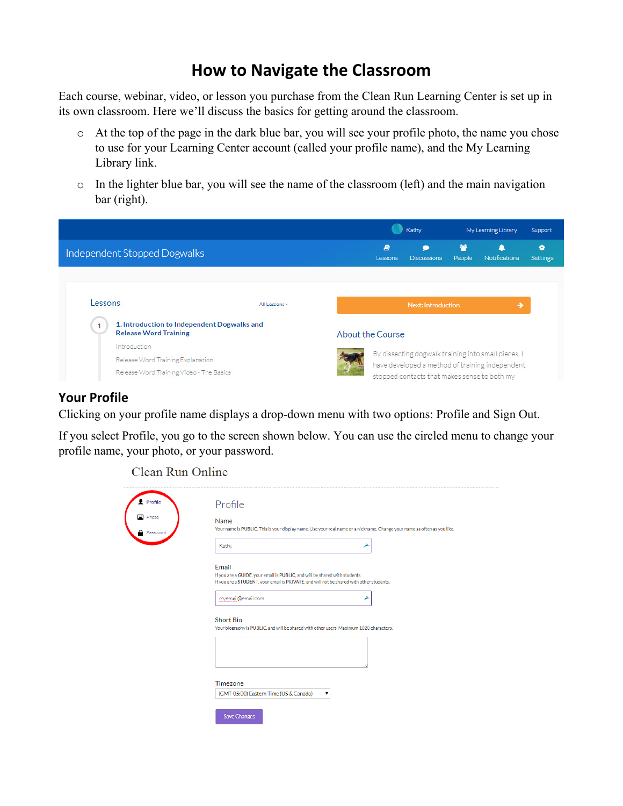# **How to Navigate the Classroom**

Each course, webinar, video, or lesson you purchase from the Clean Run Learning Center is set up in its own classroom. Here we'll discuss the basics for getting around the classroom.

- o At the top of the page in the dark blue bar, you will see your profile photo, the name you chose to use for your Learning Center account (called your profile name), and the My Learning Library link.
- o In the lighter blue bar, you will see the name of the classroom (left) and the main navigation bar (right).



### **Your Profile**

Clicking on your profile name displays a drop-down menu with two options: Profile and Sign Out.

If you select Profile, you go to the screen shown below. You can use the circled menu to change your profile name, your photo, or your password.

Clean Run Online

| Profile                  | Profile                                                                                                                                                                          |
|--------------------------|----------------------------------------------------------------------------------------------------------------------------------------------------------------------------------|
| Photo<br><b>Password</b> | Name<br>Your name is PUBLIC. This is your display name. Use your real name or a nickname. Change your name as often as you like.                                                 |
|                          | Kathy<br>≯                                                                                                                                                                       |
|                          | Email<br>If you are a GUIDE, your email is PUBLIC, and will be shared with students.<br>If you are a STUDENT, your email is PRIVATE, and will not be shared with other students. |
|                          | myemail@email.com<br>≯                                                                                                                                                           |
|                          | <b>Short Bio</b><br>Your biography is PUBLIC, and will be shared with other users. Maximum 1020 characters.                                                                      |
|                          |                                                                                                                                                                                  |
|                          | Timezone<br>(GMT-05:00) Eastern Time (US & Canada)<br>▼                                                                                                                          |
|                          | <b>Save Changes</b>                                                                                                                                                              |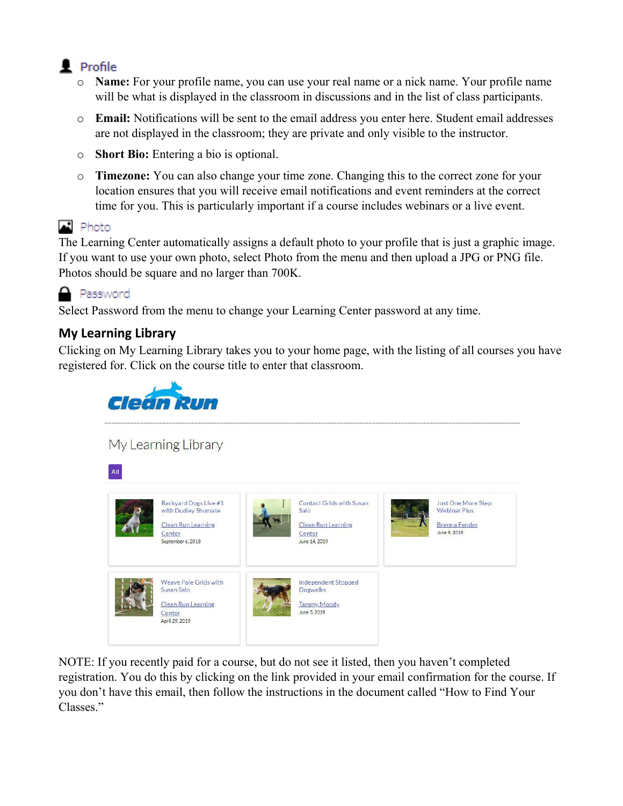# $\blacksquare$  Profile

- o **Name:** For your profile name, you can use your real name or a nick name. Your profile name will be what is displayed in the classroom in discussions and in the list of class participants.
- o **Email:** Notifications will be sent to the email address you enter here. Student email addresses are not displayed in the classroom; they are private and only visible to the instructor.
- o **Short Bio:** Entering a bio is optional.
- o **Timezone:** You can also change your time zone. Changing this to the correct zone for your location ensures that you will receive email notifications and event reminders at the correct time for you. This is particularly important if a course includes webinars or a live event.

## $\blacksquare$  Photo

The Learning Center automatically assigns a default photo to your profile that is just a graphic image. If you want to use your own photo, select Photo from the menu and then upload a JPG or PNG file. Photos should be square and no larger than 700K.



Select Password from the menu to change your Learning Center password at any time.

## **My Learning Library**

Clicking on My Learning Library takes you to your home page, with the listing of all courses you have registered for. Click on the course title to enter that classroom.



My Learning Library



NOTE: If you recently paid for a course, but do not see it listed, then you haven't completed registration. You do this by clicking on the link provided in your email confirmation for the course. If you don't have this email, then follow the instructions in the document called "How to Find Your Classes<sup>"</sup>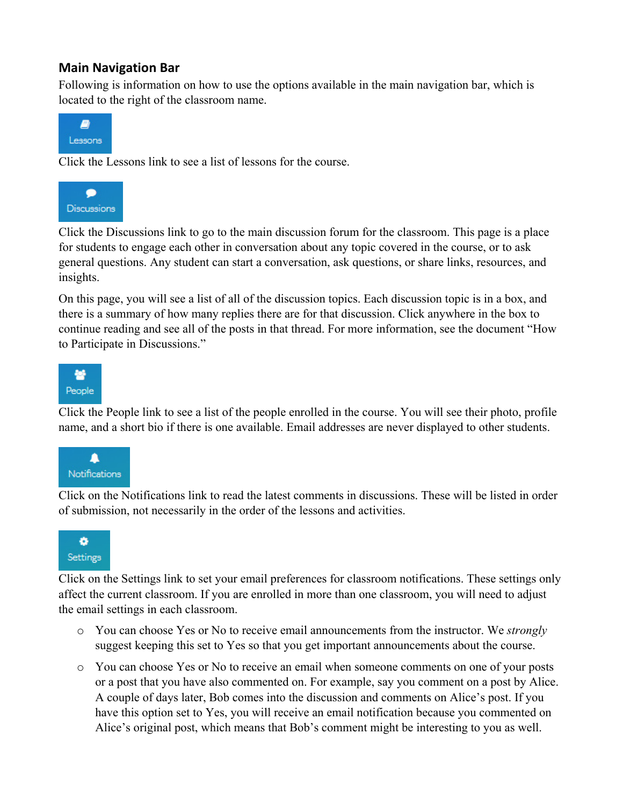#### **Main Navigation Bar**

Following is information on how to use the options available in the main navigation bar, which is located to the right of the classroom name.



Click the Lessons link to see a list of lessons for the course.



Click the Discussions link to go to the main discussion forum for the classroom. This page is a place for students to engage each other in conversation about any topic covered in the course, or to ask general questions. Any student can start a conversation, ask questions, or share links, resources, and insights.

On this page, you will see a list of all of the discussion topics. Each discussion topic is in a box, and there is a summary of how many replies there are for that discussion. Click anywhere in the box to continue reading and see all of the posts in that thread. For more information, see the document "How to Participate in Discussions."



Click the People link to see a list of the people enrolled in the course. You will see their photo, profile name, and a short bio if there is one available. Email addresses are never displayed to other students.



Click on the Notifications link to read the latest comments in discussions. These will be listed in order of submission, not necessarily in the order of the lessons and activities.



Click on the Settings link to set your email preferences for classroom notifications. These settings only affect the current classroom. If you are enrolled in more than one classroom, you will need to adjust the email settings in each classroom.

- o You can choose Yes or No to receive email announcements from the instructor. We *strongly* suggest keeping this set to Yes so that you get important announcements about the course.
- o You can choose Yes or No to receive an email when someone comments on one of your posts or a post that you have also commented on. For example, say you comment on a post by Alice. A couple of days later, Bob comes into the discussion and comments on Alice's post. If you have this option set to Yes, you will receive an email notification because you commented on Alice's original post, which means that Bob's comment might be interesting to you as well.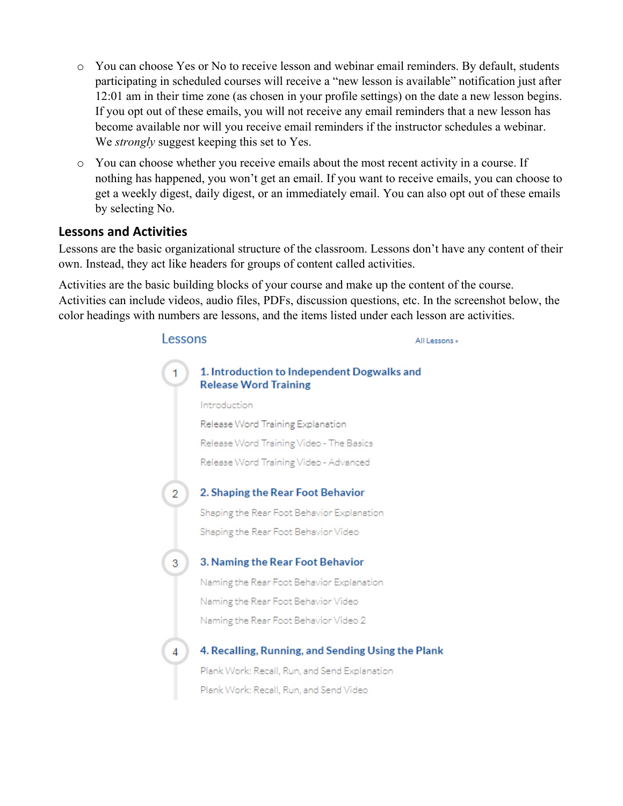- o You can choose Yes or No to receive lesson and webinar email reminders. By default, students participating in scheduled courses will receive a "new lesson is available" notification just after 12:01 am in their time zone (as chosen in your profile settings) on the date a new lesson begins. If you opt out of these emails, you will not receive any email reminders that a new lesson has become available nor will you receive email reminders if the instructor schedules a webinar. We *strongly* suggest keeping this set to Yes.
- o You can choose whether you receive emails about the most recent activity in a course. If nothing has happened, you won't get an email. If you want to receive emails, you can choose to get a weekly digest, daily digest, or an immediately email. You can also opt out of these emails by selecting No.

#### **Lessons and Activities**

Lessons are the basic organizational structure of the classroom. Lessons don't have any content of their own. Instead, they act like headers for groups of content called activities.

Activities are the basic building blocks of your course and make up the content of the course. Activities can include videos, audio files, PDFs, discussion questions, etc. In the screenshot below, the color headings with numbers are lessons, and the items listed under each lesson are activities.